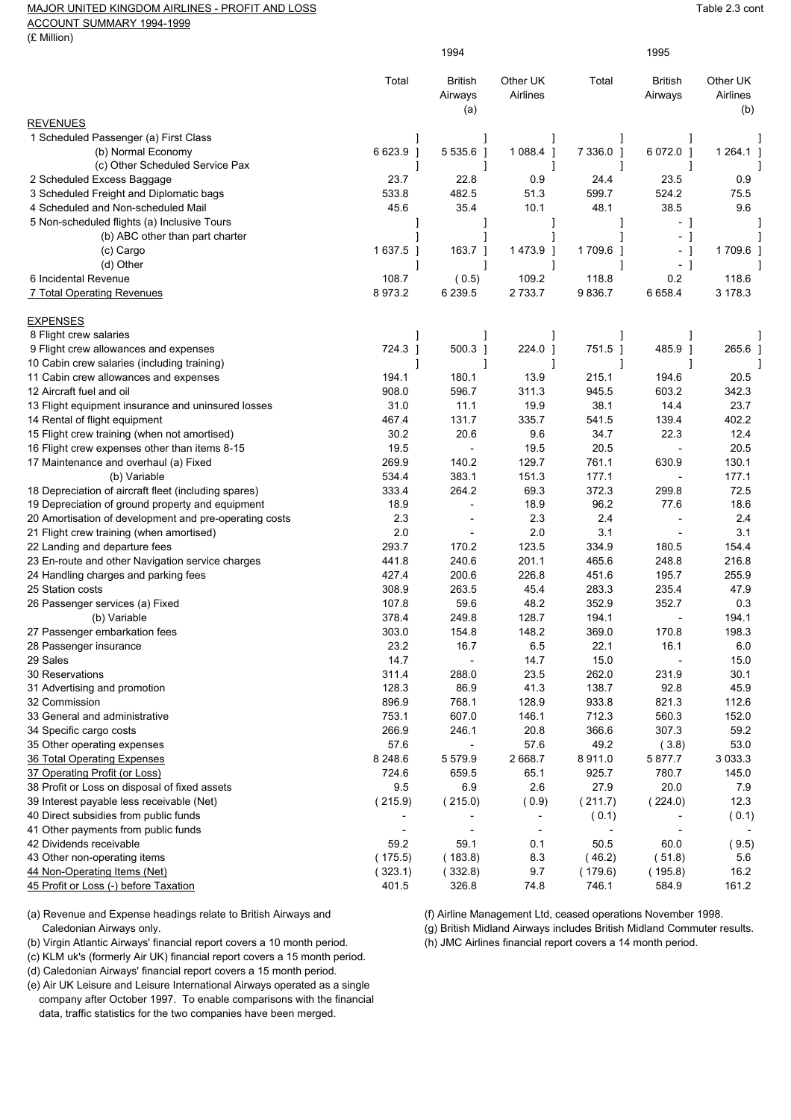## MAJOR UNITED KINGDOM AIRLINES - PROFIT AND LOSS TABLE 2.3 cont

ACCOUNT SUMMARY 1994-1999

(£ Million)

|                                                                                                    | 1994                     |                                            |                          | 1995          |                           |                             |
|----------------------------------------------------------------------------------------------------|--------------------------|--------------------------------------------|--------------------------|---------------|---------------------------|-----------------------------|
|                                                                                                    | Total                    | <b>British</b><br>Airways<br>(a)           | Other UK<br>Airlines     | Total         | <b>British</b><br>Airways | Other UK<br>Airlines<br>(b) |
| <b>REVENUES</b>                                                                                    |                          |                                            |                          |               |                           |                             |
| 1 Scheduled Passenger (a) First Class                                                              |                          |                                            |                          |               |                           |                             |
| (b) Normal Economy                                                                                 | 6 623.9 ]                | 5 5 3 5 . 6 1                              | 1 0 8 8 4 1              | 7 3 3 6 .0 1  | 6 072.0 1                 | 1 264.1 ]                   |
| (c) Other Scheduled Service Pax                                                                    |                          |                                            |                          |               |                           |                             |
| 2 Scheduled Excess Baggage                                                                         | 23.7                     | 22.8                                       | 0.9                      | 24.4          | 23.5                      | 0.9                         |
| 3 Scheduled Freight and Diplomatic bags                                                            | 533.8                    | 482.5                                      | 51.3                     | 599.7         | 524.2                     | 75.5                        |
| 4 Scheduled and Non-scheduled Mail                                                                 | 45.6                     | 35.4                                       | 10.1                     | 48.1          | 38.5                      | 9.6                         |
| 5 Non-scheduled flights (a) Inclusive Tours                                                        |                          |                                            |                          |               | - 1                       |                             |
| (b) ABC other than part charter                                                                    |                          |                                            |                          |               | - 1                       |                             |
| (c) Cargo                                                                                          | 1637.5 ]                 | 163.7 ]                                    | 1473.9 ]                 | 1709.6 ]      | - 1                       | 1709.6 1                    |
| (d) Other<br>6 Incidental Revenue                                                                  | 1<br>108.7               | 1                                          | 1<br>109.2               | 118.8         | - 1<br>0.2                | 118.6                       |
|                                                                                                    | 8973.2                   | (0.5)<br>6 2 3 9.5                         | 2 733.7                  | 9836.7        | 6 6 5 8.4                 | 3 178.3                     |
| 7 Total Operating Revenues                                                                         |                          |                                            |                          |               |                           |                             |
| <b>EXPENSES</b>                                                                                    |                          |                                            |                          |               |                           |                             |
| 8 Flight crew salaries                                                                             |                          |                                            |                          |               |                           |                             |
| 9 Flight crew allowances and expenses                                                              | 724.3 ]                  | $500.3$ ]                                  | 224.0                    | 751.5 ]       | 485.9 ]                   | 265.6                       |
| 10 Cabin crew salaries (including training)                                                        |                          |                                            |                          |               |                           |                             |
| 11 Cabin crew allowances and expenses                                                              | 194.1                    | 180.1                                      | 13.9                     | 215.1         | 194.6                     | 20.5                        |
| 12 Aircraft fuel and oil                                                                           | 908.0                    | 596.7                                      | 311.3                    | 945.5         | 603.2                     | 342.3                       |
| 13 Flight equipment insurance and uninsured losses                                                 | 31.0                     | 11.1                                       | 19.9                     | 38.1          | 14.4                      | 23.7                        |
| 14 Rental of flight equipment                                                                      | 467.4                    | 131.7                                      | 335.7                    | 541.5         | 139.4                     | 402.2                       |
| 15 Flight crew training (when not amortised)                                                       | 30.2                     | 20.6                                       | 9.6                      | 34.7          | 22.3                      | 12.4                        |
| 16 Flight crew expenses other than items 8-15                                                      | 19.5                     | $\overline{\phantom{a}}$                   | 19.5                     | 20.5          | $\overline{\phantom{a}}$  | 20.5                        |
| 17 Maintenance and overhaul (a) Fixed                                                              | 269.9                    | 140.2                                      | 129.7                    | 761.1         | 630.9                     | 130.1                       |
| (b) Variable                                                                                       | 534.4                    | 383.1                                      | 151.3                    | 177.1         | $\overline{a}$            | 177.1<br>72.5               |
| 18 Depreciation of aircraft fleet (including spares)                                               | 333.4                    | 264.2                                      | 69.3                     | 372.3<br>96.2 | 299.8                     |                             |
| 19 Depreciation of ground property and equipment                                                   | 18.9<br>2.3              | $\overline{\phantom{a}}$<br>$\overline{a}$ | 18.9<br>2.3              | 2.4           | 77.6<br>$\overline{a}$    | 18.6<br>2.4                 |
| 20 Amortisation of development and pre-operating costs<br>21 Flight crew training (when amortised) | 2.0                      |                                            | 2.0                      | 3.1           | $\overline{\phantom{a}}$  | 3.1                         |
| 22 Landing and departure fees                                                                      | 293.7                    | 170.2                                      | 123.5                    | 334.9         | 180.5                     | 154.4                       |
| 23 En-route and other Navigation service charges                                                   | 441.8                    | 240.6                                      | 201.1                    | 465.6         | 248.8                     | 216.8                       |
| 24 Handling charges and parking fees                                                               | 427.4                    | 200.6                                      | 226.8                    | 451.6         | 195.7                     | 255.9                       |
| 25 Station costs                                                                                   | 308.9                    | 263.5                                      | 45.4                     | 283.3         | 235.4                     | 47.9                        |
| 26 Passenger services (a) Fixed                                                                    | 107.8                    | 59.6                                       | 48.2                     | 352.9         | 352.7                     | 0.3                         |
| (b) Variable                                                                                       | 378.4                    | 249.8                                      | 128.7                    | 194.1         |                           | 194.1                       |
| 27 Passenger embarkation fees                                                                      | 303.0                    | 154.8                                      | 148.2                    | 369.0         | 170.8                     | 198.3                       |
| 28 Passenger insurance                                                                             | 23.2                     | 16.7                                       | 6.5                      | 22.1          | 16.1                      | 6.0                         |
| 29 Sales                                                                                           | 14.7                     |                                            | 14.7                     | 15.0          |                           | 15.0                        |
| 30 Reservations                                                                                    | 311.4                    | 288.0                                      | 23.5                     | 262.0         | 231.9                     | 30.1                        |
| 31 Advertising and promotion                                                                       | 128.3                    | 86.9                                       | 41.3                     | 138.7         | 92.8                      | 45.9                        |
| 32 Commission                                                                                      | 896.9                    | 768.1                                      | 128.9                    | 933.8         | 821.3                     | 112.6                       |
| 33 General and administrative                                                                      | 753.1                    | 607.0                                      | 146.1                    | 712.3         | 560.3                     | 152.0                       |
| 34 Specific cargo costs                                                                            | 266.9                    | 246.1                                      | 20.8                     | 366.6         | 307.3                     | 59.2                        |
| 35 Other operating expenses                                                                        | 57.6                     | $\overline{a}$                             | 57.6                     | 49.2          | (3.8)                     | 53.0                        |
| 36 Total Operating Expenses                                                                        | 8 2 4 8 . 6              | 5579.9                                     | 2 668.7                  | 8911.0        | 5877.7                    | 3 0 3 3.3                   |
| 37 Operating Profit (or Loss)                                                                      | 724.6                    | 659.5                                      | 65.1                     | 925.7         | 780.7                     | 145.0                       |
| 38 Profit or Loss on disposal of fixed assets                                                      | 9.5                      | 6.9                                        | 2.6                      | 27.9          | 20.0                      | 7.9                         |
| 39 Interest payable less receivable (Net)                                                          | (215.9)                  | (215.0)                                    | (0.9)                    | (211.7)       | (224.0)                   | 12.3                        |
| 40 Direct subsidies from public funds                                                              |                          |                                            | $\overline{\phantom{a}}$ | (0.1)         |                           | (0.1)                       |
| 41 Other payments from public funds                                                                | $\overline{\phantom{a}}$ | $\overline{\phantom{a}}$                   | $\overline{\phantom{a}}$ |               | $\overline{\phantom{a}}$  |                             |
| 42 Dividends receivable                                                                            | 59.2                     | 59.1                                       | 0.1                      | 50.5          | 60.0                      | (9.5)                       |
| 43 Other non-operating items                                                                       | (175.5)                  | (183.8)                                    | 8.3                      | (46.2)        | (51.8)                    | 5.6                         |
| 44 Non-Operating Items (Net)                                                                       | (323.1)                  | (332.8)                                    | 9.7                      | (179.6)       | (195.8)                   | 16.2                        |
| 45 Profit or Loss (-) before Taxation                                                              | 401.5                    | 326.8                                      | 74.8                     | 746.1         | 584.9                     | 161.2                       |

(a) Revenue and Expense headings relate to British Airways and (f) Airline Management Ltd, ceased operations November 1998.

(b) Virgin Atlantic Airways' financial report covers a 10 month period.

(c) KLM uk's (formerly Air UK) financial report covers a 15 month period.

(d) Caledonian Airways' financial report covers a 15 month period.

(e) Air UK Leisure and Leisure International Airways operated as a single company after October 1997. To enable comparisons with the financial

data, traffic statistics for the two companies have been merged.

Caledonian Airways only.<br>Caledonian Airways includes British Midland Commuter results.<br>Virgin Atlantic Airways' financial report covers a 10 month period.<br>(h) JMC Airlines financial report covers a 14 month period.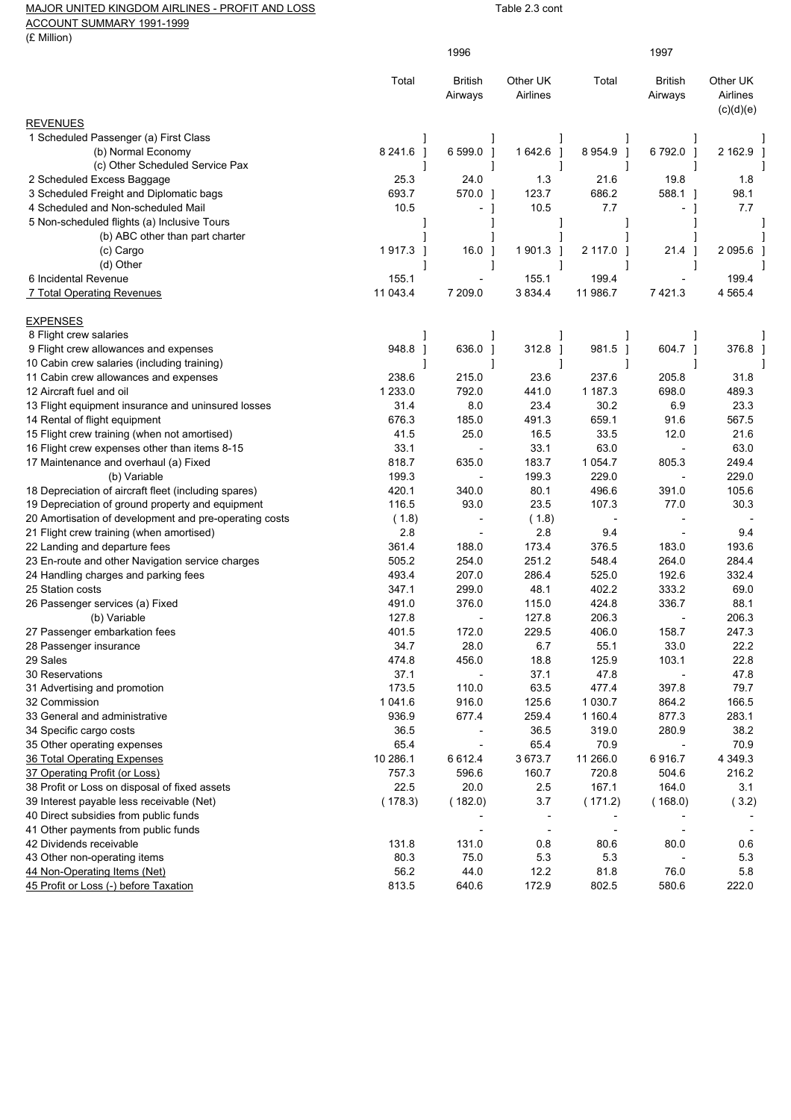## MAJOR UNITED KINGDOM AIRLINES - PROFIT AND LOSS TABLE 2.3 cont

ACCOUNT SUMMARY 1991-1999

(£ Million)

| (£ Million)                                            |                   |                          |                          |                |                           |                      |
|--------------------------------------------------------|-------------------|--------------------------|--------------------------|----------------|---------------------------|----------------------|
|                                                        |                   | 1996                     |                          |                | 1997                      |                      |
|                                                        |                   |                          | Other UK                 |                |                           |                      |
|                                                        | Total             | British<br>Airways       | Airlines                 | Total          | <b>British</b><br>Airways | Other UK<br>Airlines |
|                                                        |                   |                          |                          |                |                           | (c)(d)(e)            |
| <b>REVENUES</b>                                        |                   |                          |                          |                |                           |                      |
| 1 Scheduled Passenger (a) First Class                  |                   |                          |                          |                | 1                         |                      |
| (b) Normal Economy                                     | 8 2 4 1 . 6<br>-1 | 6 599.0 1                | 1642.6 ]                 | 8 9 54.9 ]     | 6792.0]                   | 2 162.9              |
| (c) Other Scheduled Service Pax                        |                   |                          |                          |                |                           |                      |
| 2 Scheduled Excess Baggage                             | 25.3              | 24.0                     | 1.3                      | 21.6           | 19.8                      | 1.8                  |
| 3 Scheduled Freight and Diplomatic bags                | 693.7             | 570.0 1                  | 123.7                    | 686.2          | 588.1 1                   | 98.1                 |
| 4 Scheduled and Non-scheduled Mail                     | 10.5              | - 1                      | 10.5                     | 7.7            | - 1                       | 7.7                  |
| 5 Non-scheduled flights (a) Inclusive Tours            |                   |                          |                          |                |                           |                      |
| (b) ABC other than part charter                        |                   |                          |                          |                |                           |                      |
| (c) Cargo                                              | 1917.3 1          | $16.0$ ]                 | 1901.3 ]                 | 2 117.0 1      | 21.4 ]                    | 2095.6               |
| (d) Other                                              |                   |                          |                          |                |                           |                      |
| 6 Incidental Revenue                                   | 155.1             | $\overline{\phantom{a}}$ | 155.1                    | 199.4          |                           | 199.4                |
| 7 Total Operating Revenues                             | 11 043.4          | 7 209.0                  | 3 8 3 4 4                | 11 986.7       | 7421.3                    | 4 5 6 5.4            |
| <b>EXPENSES</b>                                        |                   |                          |                          |                |                           |                      |
| 8 Flight crew salaries                                 |                   |                          |                          |                |                           |                      |
| 9 Flight crew allowances and expenses                  | 948.8             | 636.0 1                  | 312.8 ]                  | 981.5 1        | 604.7 ]                   | 376.8                |
| 10 Cabin crew salaries (including training)            |                   |                          |                          |                |                           |                      |
| 11 Cabin crew allowances and expenses                  | 238.6             | 215.0                    | 23.6                     | 237.6          | 205.8                     | 31.8                 |
| 12 Aircraft fuel and oil                               | 1 2 3 3 .0        | 792.0                    | 441.0                    | 1 187.3        | 698.0                     | 489.3                |
| 13 Flight equipment insurance and uninsured losses     | 31.4              | 8.0                      | 23.4                     | 30.2           | 6.9                       | 23.3                 |
| 14 Rental of flight equipment                          | 676.3             | 185.0                    | 491.3                    | 659.1          | 91.6                      | 567.5                |
| 15 Flight crew training (when not amortised)           | 41.5              | 25.0                     | 16.5                     | 33.5           | 12.0                      | 21.6                 |
| 16 Flight crew expenses other than items 8-15          | 33.1              |                          | 33.1                     | 63.0           | $\overline{\phantom{a}}$  | 63.0                 |
| 17 Maintenance and overhaul (a) Fixed                  | 818.7             | 635.0                    | 183.7                    | 1 0 5 4 . 7    | 805.3                     | 249.4                |
| (b) Variable                                           | 199.3             |                          | 199.3                    | 229.0          |                           | 229.0                |
| 18 Depreciation of aircraft fleet (including spares)   | 420.1             | 340.0                    | 80.1                     | 496.6          | 391.0                     | 105.6                |
| 19 Depreciation of ground property and equipment       | 116.5             | 93.0                     | 23.5                     | 107.3          | 77.0                      | 30.3                 |
| 20 Amortisation of development and pre-operating costs | (1.8)             |                          | (1.8)                    |                |                           |                      |
| 21 Flight crew training (when amortised)               | 2.8               |                          | 2.8                      | 9.4            |                           | 9.4                  |
| 22 Landing and departure fees                          | 361.4             | 188.0                    | 173.4                    | 376.5          | 183.0                     | 193.6                |
| 23 En-route and other Navigation service charges       | 505.2             | 254.0                    | 251.2                    | 548.4          | 264.0                     | 284.4                |
| 24 Handling charges and parking fees                   | 493.4             | 207.0                    | 286.4                    | 525.0          | 192.6                     | 332.4                |
| 25 Station costs                                       | 347.1             | 299.0                    | 48.1                     | 402.2          | 333.2                     | 69.0                 |
| 26 Passenger services (a) Fixed                        | 491.0             | 376.0                    | 115.0                    | 424.8          | 336.7                     | 88.1                 |
| (b) Variable                                           | 127.8             |                          | 127.8                    | 206.3          |                           | 206.3                |
| 27 Passenger embarkation fees                          | 401.5             | 172.0                    | 229.5                    | 406.0          | 158.7                     | 247.3                |
| 28 Passenger insurance                                 | 34.7              | 28.0                     | 6.7                      | 55.1           | 33.0                      | 22.2                 |
| 29 Sales                                               | 474.8             | 456.0                    | 18.8                     | 125.9          | 103.1                     | 22.8                 |
| 30 Reservations                                        | 37.1              |                          | 37.1                     | 47.8           |                           | 47.8                 |
| 31 Advertising and promotion                           | 173.5             | 110.0                    | 63.5                     | 477.4          | 397.8                     | 79.7                 |
| 32 Commission                                          | 1 041.6           | 916.0                    | 125.6                    | 1 0 3 0.7      | 864.2                     | 166.5                |
| 33 General and administrative                          | 936.9             | 677.4                    | 259.4                    | 1 160.4        | 877.3                     | 283.1                |
| 34 Specific cargo costs                                | 36.5              |                          | 36.5                     | 319.0          | 280.9                     | 38.2                 |
| 35 Other operating expenses                            | 65.4              |                          | 65.4                     | 70.9           |                           | 70.9                 |
| 36 Total Operating Expenses                            | 10 286.1          | 6612.4                   | 3673.7                   | 11 266.0       | 6916.7                    | 4 3 4 9 .3           |
| 37 Operating Profit (or Loss)                          | 757.3             | 596.6                    | 160.7                    | 720.8          | 504.6                     | 216.2                |
| 38 Profit or Loss on disposal of fixed assets          | 22.5              | 20.0                     | 2.5                      | 167.1          | 164.0                     | 3.1                  |
| 39 Interest payable less receivable (Net)              | (178.3)           | (182.0)                  | 3.7                      | (171.2)        | (168.0)                   | (3.2)                |
| 40 Direct subsidies from public funds                  |                   |                          |                          |                |                           |                      |
| 41 Other payments from public funds                    |                   |                          | $\overline{\phantom{a}}$ | $\overline{a}$ | $\overline{\phantom{a}}$  |                      |
| 42 Dividends receivable                                | 131.8             | 131.0                    | 0.8                      | 80.6           | 80.0                      | 0.6                  |
| 43 Other non-operating items                           | 80.3              | 75.0                     | 5.3                      | 5.3            |                           | 5.3                  |
| 44 Non-Operating Items (Net)                           | 56.2              | 44.0                     | 12.2                     | 81.8           | 76.0                      | 5.8                  |
| 45 Profit or Loss (-) before Taxation                  | 813.5             | 640.6                    | 172.9                    | 802.5          | 580.6                     | 222.0                |